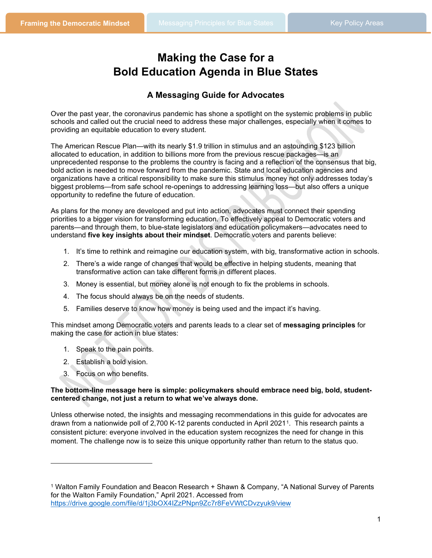# **Making the Case for a Bold Education Agenda in Blue States**

### **A Messaging Guide for Advocates**

Over the past year, the coronavirus pandemic has shone a spotlight on the systemic problems in public schools and called out the crucial need to address these major challenges, especially when it comes to providing an equitable education to every student.

The American Rescue Plan—with its nearly \$1.9 trillion in stimulus and an astounding \$123 billion allocated to education, in addition to billions more from the previous rescue packages—is an unprecedented response to the problems the country is facing and a reflection of the consensus that big, bold action is needed to move forward from the pandemic. State and local education agencies and organizations have a critical responsibility to make sure this stimulus money not only addresses today's biggest problems—from safe school re-openings to addressing learning loss—but also offers a unique opportunity to redefine the future of education.

As plans for the money are developed and put into action, advocates must connect their spending priorities to a bigger vision for transforming education. To effectively appeal to Democratic voters and parents—and through them, to blue-state legislators and education policymakers—advocates need to understand **five key insights about their mindset**. Democratic voters and parents believe:

- 1. It's time to rethink and reimagine our education system, with big, transformative action in schools.
- 2. There's a wide range of changes that would be effective in helping students, meaning that transformative action can take different forms in different places.
- 3. Money is essential, but money alone is not enough to fix the problems in schools.
- 4. The focus should always be on the needs of students.
- 5. Families deserve to know how money is being used and the impact it's having.

This mindset among Democratic voters and parents leads to a clear set of **messaging principles** for making the case for action in blue states:

- 1. Speak to the pain points.
- 2. Establish a bold vision.
- 3. Focus on who benefits.

#### **The bottom-line message here is simple: policymakers should embrace need big, bold, studentcentered change, not just a return to what we've always done.**

Unless otherwise noted, the insights and messaging recommendations in this guide for advocates are drawn from a nationwide poll of 2,700 K-12 parents conducted in April 2021[1.](#page-0-0) This research paints a consistent picture: everyone involved in the education system recognizes the need for change in this moment. The challenge now is to seize this unique opportunity rather than return to the status quo.

<span id="page-0-0"></span><sup>1</sup> Walton Family Foundation and Beacon Research + Shawn & Company, "A National Survey of Parents for the Walton Family Foundation," April 2021. Accessed from <https://drive.google.com/file/d/1j3bOX4IZzPNpn9Zc7r8FeVWtCDvzyuk9/view>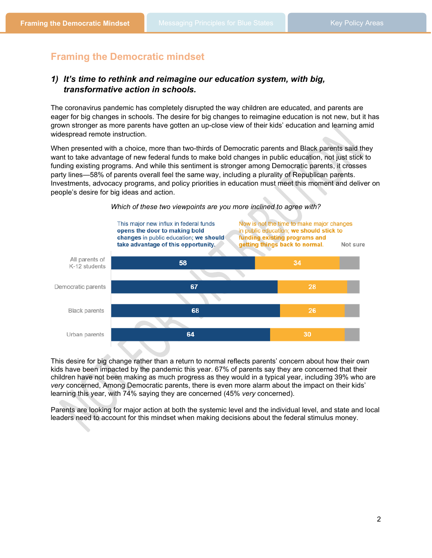# **Framing the Democratic mindset**

### *1) It's time to rethink and reimagine our education system, with big, transformative action in schools.*

The coronavirus pandemic has completely disrupted the way children are educated, and parents are eager for big changes in schools. The desire for big changes to reimagine education is not new, but it has grown stronger as more parents have gotten an up-close view of their kids' education and learning amid widespread remote instruction.

When presented with a choice, more than two-thirds of Democratic parents and Black parents said they want to take advantage of new federal funds to make bold changes in public education, not just stick to funding existing programs. And while this sentiment is stronger among Democratic parents, it crosses party lines—58% of parents overall feel the same way, including a plurality of Republican parents. Investments, advocacy programs, and policy priorities in education must meet this moment and deliver on people's desire for big ideas and action.



This desire for big change rather than a return to normal reflects parents' concern about how their own kids have been impacted by the pandemic this year. 67% of parents say they are concerned that their children have not been making as much progress as they would in a typical year, including 39% who are *very* concerned, Among Democratic parents, there is even more alarm about the impact on their kids' learning this year, with 74% saying they are concerned (45% *very* concerned).

Parents are looking for major action at both the systemic level and the individual level, and state and local leaders need to account for this mindset when making decisions about the federal stimulus money.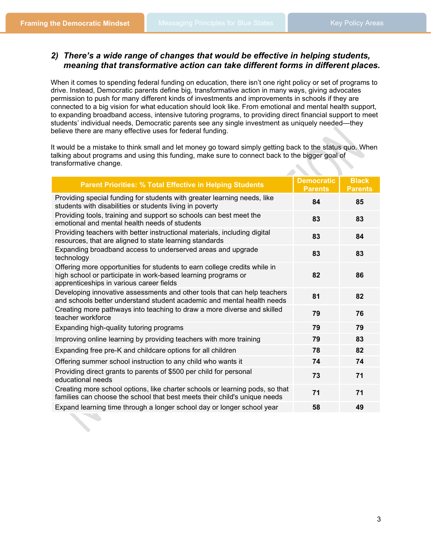### *2) There's a wide range of changes that would be effective in helping students, meaning that transformative action can take different forms in different places.*

When it comes to spending federal funding on education, there isn't one right policy or set of programs to drive. Instead, Democratic parents define big, transformative action in many ways, giving advocates permission to push for many different kinds of investments and improvements in schools if they are connected to a big vision for what education should look like. From emotional and mental health support, to expanding broadband access, intensive tutoring programs, to providing direct financial support to meet students' individual needs, Democratic parents see any single investment as uniquely needed—they believe there are many effective uses for federal funding.

It would be a mistake to think small and let money go toward simply getting back to the status quo. When talking about programs and using this funding, make sure to connect back to the bigger goal of transformative change.

| <b>Parent Priorities: % Total Effective in Helping Students</b>                                                                                                                        | <b>Democratic</b><br><b>Parents</b> | <b>Black</b><br><b>Parents</b> |
|----------------------------------------------------------------------------------------------------------------------------------------------------------------------------------------|-------------------------------------|--------------------------------|
| Providing special funding for students with greater learning needs, like<br>students with disabilities or students living in poverty                                                   | 84                                  | 85                             |
| Providing tools, training and support so schools can best meet the<br>emotional and mental health needs of students                                                                    | 83                                  | 83                             |
| Providing teachers with better instructional materials, including digital<br>resources, that are aligned to state learning standards                                                   | 83                                  | 84                             |
| Expanding broadband access to underserved areas and upgrade<br>technology                                                                                                              | 83                                  | 83                             |
| Offering more opportunities for students to earn college credits while in<br>high school or participate in work-based learning programs or<br>apprenticeships in various career fields | 82                                  | 86                             |
| Developing innovative assessments and other tools that can help teachers<br>and schools better understand student academic and mental health needs                                     | 81                                  | 82                             |
| Creating more pathways into teaching to draw a more diverse and skilled<br>teacher workforce                                                                                           | 79                                  | 76                             |
| Expanding high-quality tutoring programs                                                                                                                                               | 79                                  | 79                             |
| Improving online learning by providing teachers with more training                                                                                                                     | 79                                  | 83                             |
| Expanding free pre-K and childcare options for all children                                                                                                                            | 78                                  | 82                             |
| Offering summer school instruction to any child who wants it                                                                                                                           | 74                                  | 74                             |
| Providing direct grants to parents of \$500 per child for personal<br>educational needs                                                                                                | 73                                  | 71                             |
| Creating more school options, like charter schools or learning pods, so that<br>families can choose the school that best meets their child's unique needs                              | 71                                  | 71                             |
| Expand learning time through a longer school day or longer school year                                                                                                                 | 58                                  | 49                             |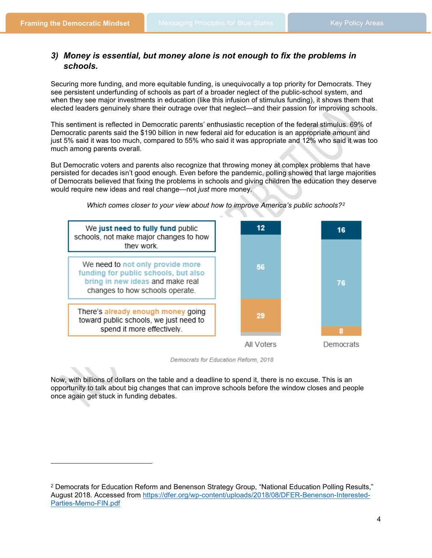### *3) Money is essential, but money alone is not enough to fix the problems in schools.*

Securing more funding, and more equitable funding, is unequivocally a top priority for Democrats. They see persistent underfunding of schools as part of a broader neglect of the public-school system, and when they see major investments in education (like this infusion of stimulus funding), it shows them that elected leaders genuinely share their outrage over that neglect—and their passion for improving schools.

This sentiment is reflected in Democratic parents' enthusiastic reception of the federal stimulus. 69% of Democratic parents said the \$190 billion in new federal aid for education is an appropriate amount and just 5% said it was too much, compared to 55% who said it was appropriate and 12% who said it was too much among parents overall.

But Democratic voters and parents also recognize that throwing money at complex problems that have persisted for decades isn't good enough. Even before the pandemic, polling showed that large majorities of Democrats believed that fixing the problems in schools and giving children the education they deserve would require new ideas and real change—not *just* more money.



*Which comes closer to your view about how to improve America's public schools?[2](#page-3-0)*

Democrats for Education Reform, 2018

Now, with billions of dollars on the table and a deadline to spend it, there is no excuse. This is an opportunity to talk about big changes that can improve schools before the window closes and people once again get stuck in funding debates.

<span id="page-3-0"></span><sup>2</sup> Democrats for Education Reform and Benenson Strategy Group, "National Education Polling Results," August 2018. Accessed from [https://dfer.org/wp-content/uploads/2018/08/DFER-Benenson-Interested-](https://dfer.org/wp-content/uploads/2018/08/DFER-Benenson-Interested-Parties-Memo-FIN.pdf)[Parties-Memo-FIN.pdf](https://dfer.org/wp-content/uploads/2018/08/DFER-Benenson-Interested-Parties-Memo-FIN.pdf)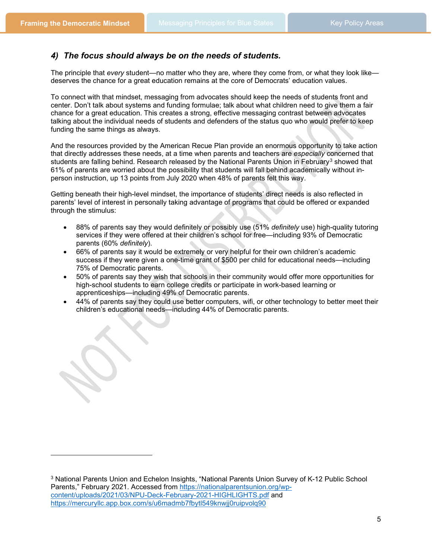### *4) The focus should always be on the needs of students.*

The principle that *every* student—no matter who they are, where they come from, or what they look like deserves the chance for a great education remains at the core of Democrats' education values.

To connect with that mindset, messaging from advocates should keep the needs of students front and center. Don't talk about systems and funding formulae; talk about what children need to give them a fair chance for a great education. This creates a strong, effective messaging contrast between advocates talking about the individual needs of students and defenders of the status quo who would prefer to keep funding the same things as always.

And the resources provided by the American Recue Plan provide an enormous opportunity to take action that directly addresses these needs, at a time when parents and teachers are *especially* concerned that students are falling behind. Research released by the National Parents Union in February<sup>[3](#page-4-0)</sup> showed that 61% of parents are worried about the possibility that students will fall behind academically without inperson instruction, up 13 points from July 2020 when 48% of parents felt this way.

Getting beneath their high-level mindset, the importance of students' direct needs is also reflected in parents' level of interest in personally taking advantage of programs that could be offered or expanded through the stimulus:

- 88% of parents say they would definitely or possibly use (51% *definitely* use) high-quality tutoring services if they were offered at their children's school for free—including 93% of Democratic parents (60% *definitely*).
- 66% of parents say it would be extremely or very helpful for their own children's academic success if they were given a one-time grant of \$500 per child for educational needs—including 75% of Democratic parents.
- 50% of parents say they wish that schools in their community would offer more opportunities for high-school students to earn college credits or participate in work-based learning or apprenticeships—including 49% of Democratic parents.
- 44% of parents say they could use better computers, wifi, or other technology to better meet their children's educational needs—including 44% of Democratic parents.

<span id="page-4-0"></span><sup>3</sup> National Parents Union and Echelon Insights, "National Parents Union Survey of K-12 Public School Parents," February 2021. Accessed from [https://nationalparentsunion.org/wp](https://nationalparentsunion.org/wp-content/uploads/2021/03/NPU-Deck-February-2021-HIGHLIGHTS.pdf)[content/uploads/2021/03/NPU-Deck-February-2021-HIGHLIGHTS.pdf](https://nationalparentsunion.org/wp-content/uploads/2021/03/NPU-Deck-February-2021-HIGHLIGHTS.pdf) and <https://mercuryllc.app.box.com/s/u6madmb7fbytl549knwjj0ruipvolq90>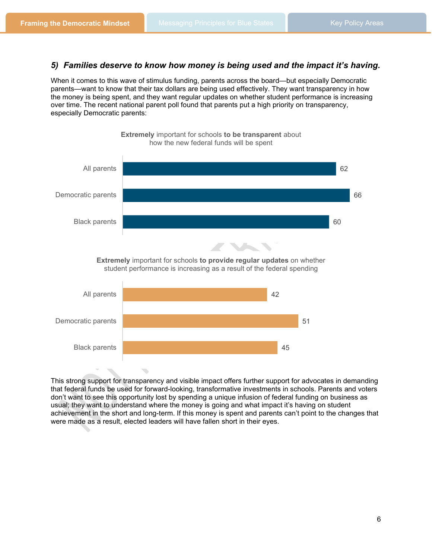### *5) Families deserve to know how money is being used and the impact it's having.*

When it comes to this wave of stimulus funding, parents across the board—but especially Democratic parents—want to know that their tax dollars are being used effectively. They want transparency in how the money is being spent, and they want regular updates on whether student performance is increasing over time. The recent national parent poll found that parents put a high priority on transparency, especially Democratic parents:



This strong support for transparency and visible impact offers further support for advocates in demanding that federal funds be used for forward-looking, transformative investments in schools. Parents and voters don't want to see this opportunity lost by spending a unique infusion of federal funding on business as usual; they want to understand where the money is going and what impact it's having on student achievement in the short and long-term. If this money is spent and parents can't point to the changes that were made as a result, elected leaders will have fallen short in their eyes.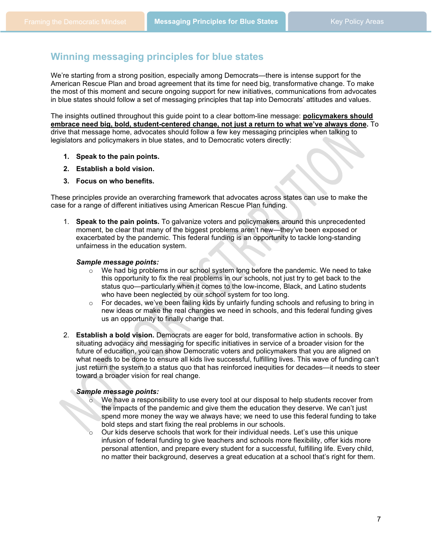# **Winning messaging principles for blue states**

We're starting from a strong position, especially among Democrats—there is intense support for the American Rescue Plan and broad agreement that its time for need big, transformative change. To make the most of this moment and secure ongoing support for new initiatives, communications from advocates in blue states should follow a set of messaging principles that tap into Democrats' attitudes and values.

The insights outlined throughout this guide point to a clear bottom-line message: **policymakers should embrace need big, bold, student-centered change, not just a return to what we've always done.** To drive that message home, advocates should follow a few key messaging principles when talking to legislators and policymakers in blue states, and to Democratic voters directly:

- **1. Speak to the pain points.**
- **2. Establish a bold vision.**
- **3. Focus on who benefits.**

These principles provide an overarching framework that advocates across states can use to make the case for a range of different initiatives using American Rescue Plan funding.

1. **Speak to the pain points.** To galvanize voters and policymakers around this unprecedented moment, be clear that many of the biggest problems aren't new—they've been exposed or exacerbated by the pandemic. This federal funding is an opportunity to tackle long-standing unfairness in the education system.

#### *Sample message points:*

- $\circ$  We had big problems in our school system long before the pandemic. We need to take this opportunity to fix the real problems in our schools, not just try to get back to the status quo—particularly when it comes to the low-income, Black, and Latino students who have been neglected by our school system for too long.
- $\circ$  For decades, we've been failing kids by unfairly funding schools and refusing to bring in new ideas or make the real changes we need in schools, and this federal funding gives us an opportunity to finally change that.
- 2. **Establish a bold vision.** Democrats are eager for bold, transformative action in schools. By situating advocacy and messaging for specific initiatives in service of a broader vision for the future of education, you can show Democratic voters and policymakers that you are aligned on what needs to be done to ensure all kids live successful, fulfilling lives. This wave of funding can't just return the system to a status quo that has reinforced inequities for decades—it needs to steer toward a broader vision for real change.

#### *Sample message points:*

- o We have a responsibility to use every tool at our disposal to help students recover from the impacts of the pandemic and give them the education they deserve. We can't just spend more money the way we always have; we need to use this federal funding to take bold steps and start fixing the real problems in our schools.
- Our kids deserve schools that work for their individual needs. Let's use this unique infusion of federal funding to give teachers and schools more flexibility, offer kids more personal attention, and prepare every student for a successful, fulfilling life. Every child, no matter their background, deserves a great education at a school that's right for them.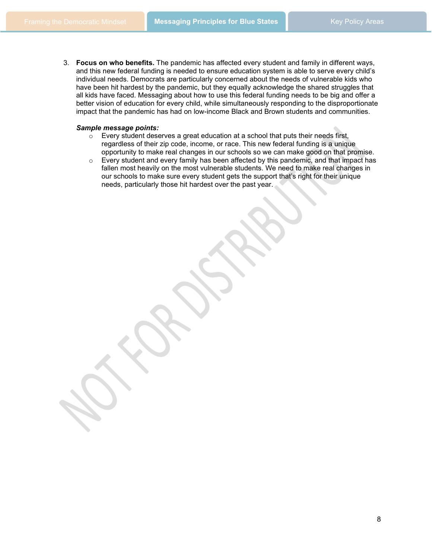3. **Focus on who benefits.** The pandemic has affected every student and family in different ways, and this new federal funding is needed to ensure education system is able to serve every child's individual needs. Democrats are particularly concerned about the needs of vulnerable kids who have been hit hardest by the pandemic, but they equally acknowledge the shared struggles that all kids have faced. Messaging about how to use this federal funding needs to be big and offer a better vision of education for every child, while simultaneously responding to the disproportionate impact that the pandemic has had on low-income Black and Brown students and communities.

#### *Sample message points:*

- o Every student deserves a great education at a school that puts their needs first, regardless of their zip code, income, or race. This new federal funding is a unique opportunity to make real changes in our schools so we can make good on that promise.
- $\circ$  Every student and every family has been affected by this pandemic, and that impact has fallen most heavily on the most vulnerable students. We need to make real changes in our schools to make sure every student gets the support that's right for their unique needs, particularly those hit hardest over the past year.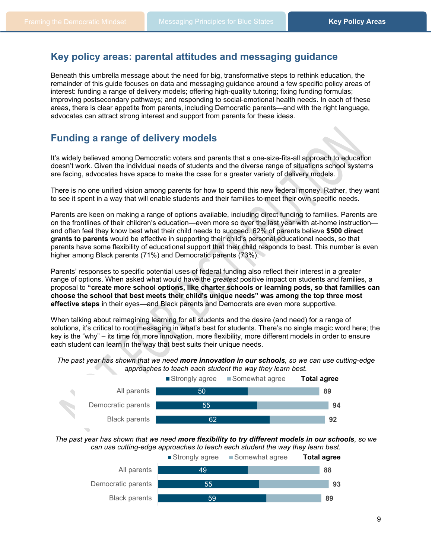## **Key policy areas: parental attitudes and messaging guidance**

Beneath this umbrella message about the need for big, transformative steps to rethink education, the remainder of this guide focuses on data and messaging guidance around a few specific policy areas of interest: funding a range of delivery models; offering high-quality tutoring; fixing funding formulas; improving postsecondary pathways; and responding to social-emotional health needs. In each of these areas, there is clear appetite from parents, including Democratic parents—and with the right language, advocates can attract strong interest and support from parents for these ideas.

### **Funding a range of delivery models**

It's widely believed among Democratic voters and parents that a one-size-fits-all approach to education doesn't work. Given the individual needs of students and the diverse range of situations school systems are facing, advocates have space to make the case for a greater variety of delivery models.

There is no one unified vision among parents for how to spend this new federal money. Rather, they want to see it spent in a way that will enable students and their families to meet their own specific needs.

Parents are keen on making a range of options available, including direct funding to families. Parents are on the frontlines of their children's education—even more so over the last year with at-home instruction and often feel they know best what their child needs to succeed. 62% of parents believe **\$500 direct grants to parents** would be effective in supporting their child's personal educational needs, so that parents have some flexibility of educational support that their child responds to best. This number is even higher among Black parents (71%) and Democratic parents (73%).

Parents' responses to specific potential uses of federal funding also reflect their interest in a greater range of options. When asked what would have the *greatest* positive impact on students and families, a proposal to **"create more school options, like charter schools or learning pods, so that families can choose the school that best meets their child's unique needs" was among the top three most effective steps** in their eyes—and Black parents and Democrats are even more supportive.

When talking about reimagining learning for all students and the desire (and need) for a range of solutions, it's critical to root messaging in what's best for students. There's no single magic word here; the key is the "why" – its time for more innovation, more flexibility, more different models in order to ensure each student can learn in the way that best suits their unique needs.

*The past year has shown that we need more innovation in our schools, so we can use cutting-edge approaches to teach each student the way they learn best.*



*The past year has shown that we need more flexibility to try different models in our schools, so we can use cutting-edge approaches to teach each student the way they learn best.*

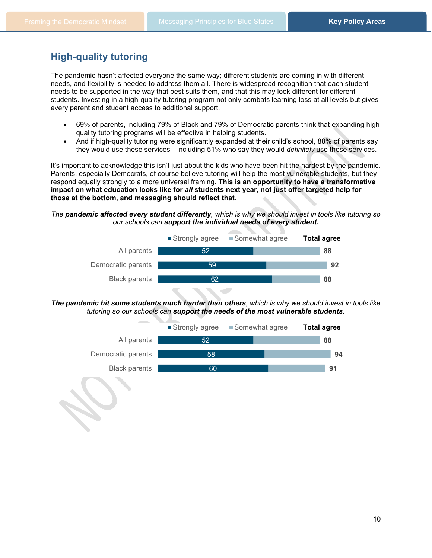# **High-quality tutoring**

The pandemic hasn't affected everyone the same way; different students are coming in with different needs, and flexibility is needed to address them all. There is widespread recognition that each student needs to be supported in the way that best suits them, and that this may look different for different students. Investing in a high-quality tutoring program not only combats learning loss at all levels but gives every parent and student access to additional support.

- 69% of parents, including 79% of Black and 79% of Democratic parents think that expanding high quality tutoring programs will be effective in helping students.
- And if high-quality tutoring were significantly expanded at their child's school, 88% of parents say they would use these services—including 51% who say they would *definitely* use these services.

It's important to acknowledge this isn't just about the kids who have been hit the hardest by the pandemic. Parents, especially Democrats, of course believe tutoring will help the most vulnerable students, but they respond equally strongly to a more universal framing. **This is an opportunity to have a transformative impact on what education looks like for** *all* **students next year, not just offer targeted help for those at the bottom, and messaging should reflect that**.

#### *The pandemic affected every student differently, which is why we should invest in tools like tutoring so our schools can support the individual needs of every student.*



*The pandemic hit some students much harder than others, which is why we should invest in tools like tutoring so our schools can support the needs of the most vulnerable students.*

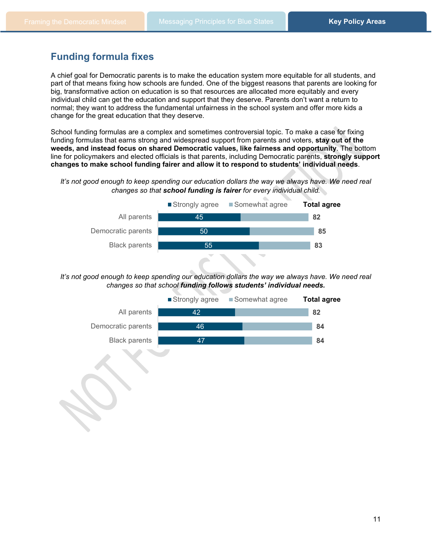# **Funding formula fixes**

A chief goal for Democratic parents is to make the education system more equitable for all students, and part of that means fixing how schools are funded. One of the biggest reasons that parents are looking for big, transformative action on education is so that resources are allocated more equitably and every individual child can get the education and support that they deserve. Parents don't want a return to normal; they want to address the fundamental unfairness in the school system and offer more kids a change for the great education that they deserve.

School funding formulas are a complex and sometimes controversial topic. To make a case for fixing funding formulas that earns strong and widespread support from parents and voters, **stay out of the weeds, and instead focus on shared Democratic values, like fairness and opportunity**. The bottom line for policymakers and elected officials is that parents, including Democratic parents, **strongly support changes to make school funding fairer and allow it to respond to students' individual needs**.

#### *It's not good enough to keep spending our education dollars the way we always have. We need real changes so that school funding is fairer for every individual child.*



*It's not good enough to keep spending our education dollars the way we always have. We need real changes so that school funding follows students' individual needs.*

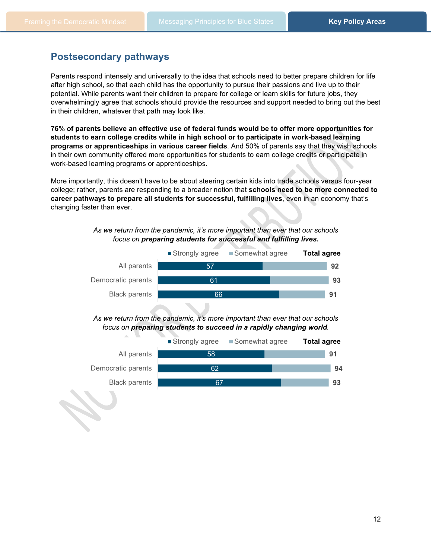# **Postsecondary pathways**

Parents respond intensely and universally to the idea that schools need to better prepare children for life after high school, so that each child has the opportunity to pursue their passions and live up to their potential. While parents want their children to prepare for college or learn skills for future jobs, they overwhelmingly agree that schools should provide the resources and support needed to bring out the best in their children, whatever that path may look like.

**76% of parents believe an effective use of federal funds would be to offer more opportunities for students to earn college credits while in high school or to participate in work-based learning programs or apprenticeships in various career fields**. And 50% of parents say that they wish schools in their own community offered more opportunities for students to earn college credits or participate in work-based learning programs or apprenticeships.

More importantly, this doesn't have to be about steering certain kids into trade schools versus four-year college; rather, parents are responding to a broader notion that **schools need to be more connected to career pathways to prepare all students for successful, fulfilling lives**, even in an economy that's changing faster than ever.

#### *As we return from the pandemic, it's more important than ever that our schools focus on preparing students for successful and fulfilling lives.*



*As we return from the pandemic, it's more important than ever that our schools focus on preparing students to succeed in a rapidly changing world.*

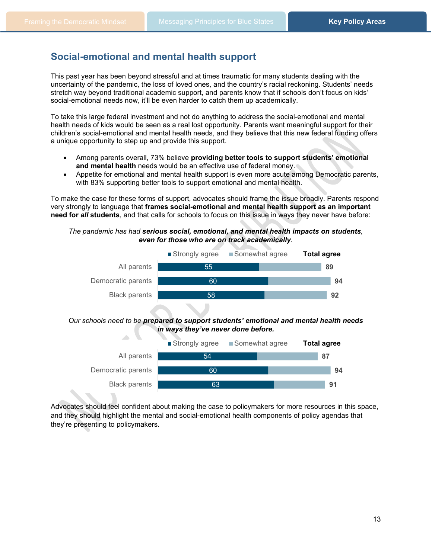### **Social-emotional and mental health support**

This past year has been beyond stressful and at times traumatic for many students dealing with the uncertainty of the pandemic, the loss of loved ones, and the country's racial reckoning. Students' needs stretch way beyond traditional academic support, and parents know that if schools don't focus on kids' social-emotional needs now, it'll be even harder to catch them up academically.

To take this large federal investment and not do anything to address the social-emotional and mental health needs of kids would be seen as a real lost opportunity. Parents want meaningful support for their children's social-emotional and mental health needs, and they believe that this new federal funding offers a unique opportunity to step up and provide this support.

- Among parents overall, 73% believe **providing better tools to support students' emotional and mental health** needs would be an effective use of federal money.
- Appetite for emotional and mental health support is even more acute among Democratic parents, with 83% supporting better tools to support emotional and mental health.

To make the case for these forms of support, advocates should frame the issue broadly. Parents respond very strongly to language that **frames social-emotional and mental health support as an important need for** *all* **students**, and that calls for schools to focus on this issue in ways they never have before:

#### *The pandemic has had serious social, emotional, and mental health impacts on students, even for those who are on track academically.*





Advocates should feel confident about making the case to policymakers for more resources in this space, and they should highlight the mental and social-emotional health components of policy agendas that they're presenting to policymakers.